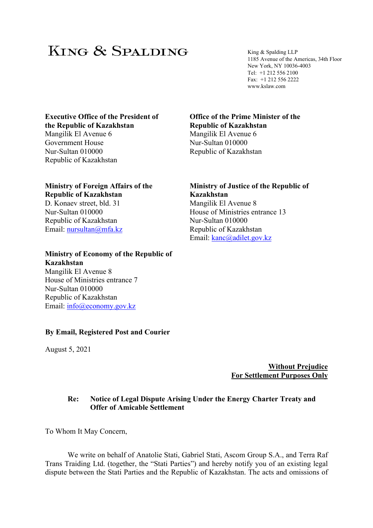# KING & SPALDING

King & Spalding LLP 1185 Avenue of the Americas, 34th Floor New York, NY 10036-4003 Tel: +1 212 556 2100 Fax: +1 212 556 2222 www.kslaw.com

# **Executive Office of the President of the Republic of Kazakhstan**

Mangilik El Avenue 6 Government House Nur-Sultan 010000 Republic of Kazakhstan

## **Ministry of Foreign Affairs of the Republic of Kazakhstan**  D. Konaev street, bld. 31 Nur-Sultan 010000 Republic of Kazakhstan Email: nursultan@mfa.kz

**Ministry of Economy of the Republic of Kazakhstan**  Mangilik El Avenue 8 House of Ministries entrance 7 Nur-Sultan 010000 Republic of Kazakhstan Email: info@economy.gov.kz

## **By Email, Registered Post and Courier**

August 5, 2021

### **Office of the Prime Minister of the Republic of Kazakhstan**  Mangіlіk El Avenue 6

Nur-Sultan 010000 Republic of Kazakhstan

**Ministry of Justice of the Republic of Kazakhstan**  Mangilik El Avenue 8 House of Ministries entrance 13 Nur-Sultan 010000 Republic of Kazakhstan Email: kanc@adilet.gov.kz

> **Without Prejudice For Settlement Purposes Only**

## **Re: Notice of Legal Dispute Arising Under the Energy Charter Treaty and Offer of Amicable Settlement**

To Whom It May Concern,

We write on behalf of Anatolie Stati, Gabriel Stati, Ascom Group S.A., and Terra Raf Trans Traiding Ltd. (together, the "Stati Parties") and hereby notify you of an existing legal dispute between the Stati Parties and the Republic of Kazakhstan. The acts and omissions of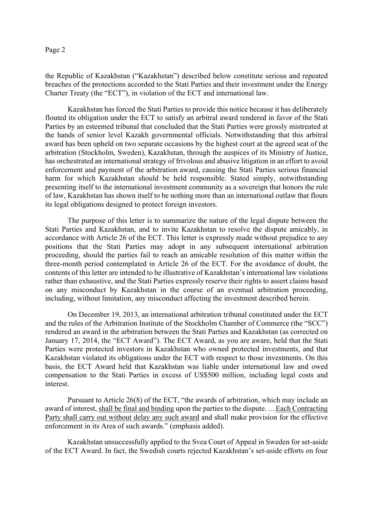the Republic of Kazakhstan ("Kazakhstan") described below constitute serious and repeated breaches of the protections accorded to the Stati Parties and their investment under the Energy Charter Treaty (the "ECT"), in violation of the ECT and international law.

Kazakhstan has forced the Stati Parties to provide this notice because it has deliberately flouted its obligation under the ECT to satisfy an arbitral award rendered in favor of the Stati Parties by an esteemed tribunal that concluded that the Stati Parties were grossly mistreated at the hands of senior level Kazakh governmental officials. Notwithstanding that this arbitral award has been upheld on two separate occasions by the highest court at the agreed seat of the arbitration (Stockholm, Sweden), Kazakhstan, through the auspices of its Ministry of Justice, has orchestrated an international strategy of frivolous and abusive litigation in an effort to avoid enforcement and payment of the arbitration award, causing the Stati Parties serious financial harm for which Kazakhstan should be held responsible. Stated simply, notwithstanding presenting itself to the international investment community as a sovereign that honors the rule of law, Kazakhstan has shown itself to be nothing more than an international outlaw that flouts its legal obligations designed to protect foreign investors.

The purpose of this letter is to summarize the nature of the legal dispute between the Stati Parties and Kazakhstan, and to invite Kazakhstan to resolve the dispute amicably, in accordance with Article 26 of the ECT. This letter is expressly made without prejudice to any positions that the Stati Parties may adopt in any subsequent international arbitration proceeding, should the parties fail to reach an amicable resolution of this matter within the three-month period contemplated in Article 26 of the ECT. For the avoidance of doubt, the contents of this letter are intended to be illustrative of Kazakhstan's international law violations rather than exhaustive, and the Stati Parties expressly reserve their rights to assert claims based on any misconduct by Kazakhstan in the course of an eventual arbitration proceeding, including, without limitation, any misconduct affecting the investment described herein.

On December 19, 2013, an international arbitration tribunal constituted under the ECT and the rules of the Arbitration Institute of the Stockholm Chamber of Commerce (the "SCC") rendered an award in the arbitration between the Stati Parties and Kazakhstan (as corrected on January 17, 2014, the "ECT Award"). The ECT Award, as you are aware, held that the Stati Parties were protected investors in Kazakhstan who owned protected investments, and that Kazakhstan violated its obligations under the ECT with respect to those investments. On this basis, the ECT Award held that Kazakhstan was liable under international law and owed compensation to the Stati Parties in excess of US\$500 million, including legal costs and interest.

Pursuant to Article 26(8) of the ECT, "the awards of arbitration, which may include an award of interest, shall be final and binding upon the parties to the dispute. …Each Contracting Party shall carry out without delay any such award and shall make provision for the effective enforcement in its Area of such awards." (emphasis added).

Kazakhstan unsuccessfully applied to the Svea Court of Appeal in Sweden for set-aside of the ECT Award. In fact, the Swedish courts rejected Kazakhstan's set-aside efforts on four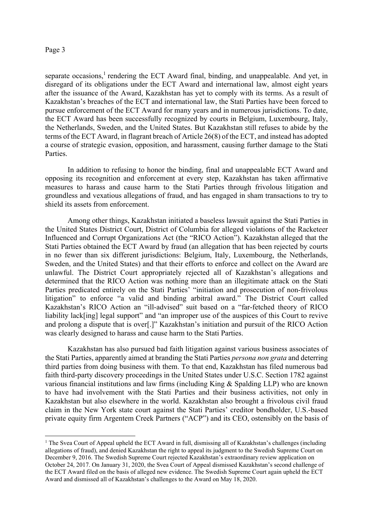separate occasions,<sup>1</sup> rendering the ECT Award final, binding, and unappealable. And yet, in disregard of its obligations under the ECT Award and international law, almost eight years after the issuance of the Award, Kazakhstan has yet to comply with its terms. As a result of Kazakhstan's breaches of the ECT and international law, the Stati Parties have been forced to pursue enforcement of the ECT Award for many years and in numerous jurisdictions. To date, the ECT Award has been successfully recognized by courts in Belgium, Luxembourg, Italy, the Netherlands, Sweden, and the United States. But Kazakhstan still refuses to abide by the terms of the ECT Award, in flagrant breach of Article 26(8) of the ECT, and instead has adopted a course of strategic evasion, opposition, and harassment, causing further damage to the Stati Parties.

In addition to refusing to honor the binding, final and unappealable ECT Award and opposing its recognition and enforcement at every step, Kazakhstan has taken affirmative measures to harass and cause harm to the Stati Parties through frivolous litigation and groundless and vexatious allegations of fraud, and has engaged in sham transactions to try to shield its assets from enforcement.

Among other things, Kazakhstan initiated a baseless lawsuit against the Stati Parties in the United States District Court, District of Columbia for alleged violations of the Racketeer Influenced and Corrupt Organizations Act (the "RICO Action"). Kazakhstan alleged that the Stati Parties obtained the ECT Award by fraud (an allegation that has been rejected by courts in no fewer than six different jurisdictions: Belgium, Italy, Luxembourg, the Netherlands, Sweden, and the United States) and that their efforts to enforce and collect on the Award are unlawful. The District Court appropriately rejected all of Kazakhstan's allegations and determined that the RICO Action was nothing more than an illegitimate attack on the Stati Parties predicated entirely on the Stati Parties' "initiation and prosecution of non-frivolous litigation" to enforce "a valid and binding arbitral award." The District Court called Kazakhstan's RICO Action an "ill-advised" suit based on a "far-fetched theory of RICO liability lack[ing] legal support" and "an improper use of the auspices of this Court to revive and prolong a dispute that is over[.]" Kazakhstan's initiation and pursuit of the RICO Action was clearly designed to harass and cause harm to the Stati Parties.

Kazakhstan has also pursued bad faith litigation against various business associates of the Stati Parties, apparently aimed at branding the Stati Parties *persona non grata* and deterring third parties from doing business with them. To that end, Kazakhstan has filed numerous bad faith third-party discovery proceedings in the United States under U.S.C. Section 1782 against various financial institutions and law firms (including King & Spalding LLP) who are known to have had involvement with the Stati Parties and their business activities, not only in Kazakhstan but also elsewhere in the world. Kazakhstan also brought a frivolous civil fraud claim in the New York state court against the Stati Parties' creditor bondholder, U.S.-based private equity firm Argentem Creek Partners ("ACP") and its CEO, ostensibly on the basis of

<sup>&</sup>lt;sup>1</sup> The Svea Court of Appeal upheld the ECT Award in full, dismissing all of Kazakhstan's challenges (including allegations of fraud), and denied Kazakhstan the right to appeal its judgment to the Swedish Supreme Court on December 9, 2016. The Swedish Supreme Court rejected Kazakhstan's extraordinary review application on October 24, 2017. On January 31, 2020, the Svea Court of Appeal dismissed Kazakhstan's second challenge of the ECT Award filed on the basis of alleged new evidence. The Swedish Supreme Court again upheld the ECT Award and dismissed all of Kazakhstan's challenges to the Award on May 18, 2020.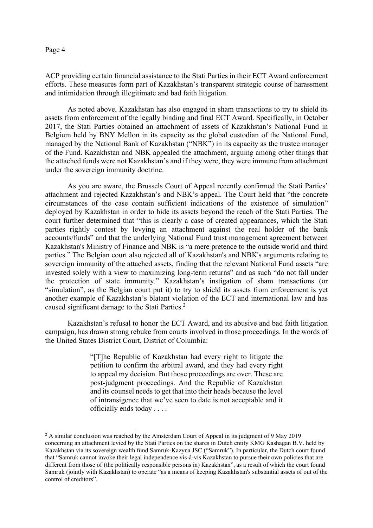ACP providing certain financial assistance to the Stati Parties in their ECT Award enforcement efforts. These measures form part of Kazakhstan's transparent strategic course of harassment and intimidation through illegitimate and bad faith litigation.

As noted above, Kazakhstan has also engaged in sham transactions to try to shield its assets from enforcement of the legally binding and final ECT Award. Specifically, in October 2017, the Stati Parties obtained an attachment of assets of Kazakhstan's National Fund in Belgium held by BNY Mellon in its capacity as the global custodian of the National Fund, managed by the National Bank of Kazakhstan ("NBK") in its capacity as the trustee manager of the Fund. Kazakhstan and NBK appealed the attachment, arguing among other things that the attached funds were not Kazakhstan's and if they were, they were immune from attachment under the sovereign immunity doctrine.

As you are aware, the Brussels Court of Appeal recently confirmed the Stati Parties' attachment and rejected Kazakhstan's and NBK's appeal. The Court held that "the concrete circumstances of the case contain sufficient indications of the existence of simulation" deployed by Kazakhstan in order to hide its assets beyond the reach of the Stati Parties. The court further determined that "this is clearly a case of created appearances, which the Stati parties rightly contest by levying an attachment against the real holder of the bank accounts/funds" and that the underlying National Fund trust management agreement between Kazakhstan's Ministry of Finance and NBK is "a mere pretence to the outside world and third parties." The Belgian court also rejected all of Kazakhstan's and NBK's arguments relating to sovereign immunity of the attached assets, finding that the relevant National Fund assets "are invested solely with a view to maximizing long-term returns" and as such "do not fall under the protection of state immunity." Kazakhstan's instigation of sham transactions (or "simulation", as the Belgian court put it) to try to shield its assets from enforcement is yet another example of Kazakhstan's blatant violation of the ECT and international law and has caused significant damage to the Stati Parties.<sup>2</sup>

Kazakhstan's refusal to honor the ECT Award, and its abusive and bad faith litigation campaign, has drawn strong rebuke from courts involved in those proceedings. In the words of the United States District Court, District of Columbia:

> "[T]he Republic of Kazakhstan had every right to litigate the petition to confirm the arbitral award, and they had every right to appeal my decision. But those proceedings are over. These are post-judgment proceedings. And the Republic of Kazakhstan and its counsel needs to get that into their heads because the level of intransigence that we've seen to date is not acceptable and it officially ends today . . . .

<sup>&</sup>lt;sup>2</sup> A similar conclusion was reached by the Amsterdam Court of Appeal in its judgment of 9 May 2019 concerning an attachment levied by the Stati Parties on the shares in Dutch entity KMG Kashagan B.V. held by Kazakhstan via its sovereign wealth fund Samruk-Kazyna JSC ("Samruk"). In particular, the Dutch court found that "Samruk cannot invoke their legal independence vis-à-vis Kazakhstan to pursue their own policies that are different from those of (the politically responsible persons in) Kazakhstan", as a result of which the court found Samruk (jointly with Kazakhstan) to operate "as a means of keeping Kazakhstan's substantial assets of out of the control of creditors".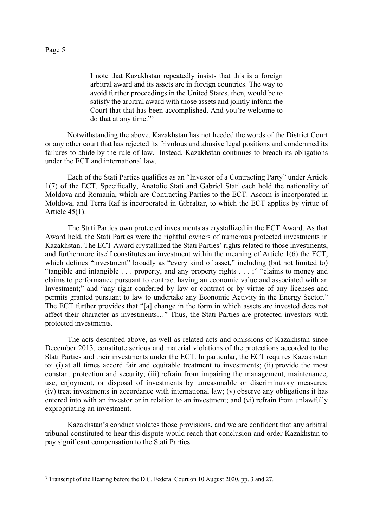I note that Kazakhstan repeatedly insists that this is a foreign arbitral award and its assets are in foreign countries. The way to avoid further proceedings in the United States, then, would be to satisfy the arbitral award with those assets and jointly inform the Court that that has been accomplished. And you're welcome to do that at any time."3

Notwithstanding the above, Kazakhstan has not heeded the words of the District Court or any other court that has rejected its frivolous and abusive legal positions and condemned its failures to abide by the rule of law. Instead, Kazakhstan continues to breach its obligations under the ECT and international law.

Each of the Stati Parties qualifies as an "Investor of a Contracting Party" under Article 1(7) of the ECT. Specifically, Anatolie Stati and Gabriel Stati each hold the nationality of Moldova and Romania, which are Contracting Parties to the ECT. Ascom is incorporated in Moldova, and Terra Raf is incorporated in Gibraltar, to which the ECT applies by virtue of Article 45(1).

The Stati Parties own protected investments as crystallized in the ECT Award. As that Award held, the Stati Parties were the rightful owners of numerous protected investments in Kazakhstan. The ECT Award crystallized the Stati Parties' rights related to those investments, and furthermore itself constitutes an investment within the meaning of Article 1(6) the ECT, which defines "investment" broadly as "every kind of asset," including (but not limited to) "tangible and intangible . . . property, and any property rights . . . ;" "claims to money and claims to performance pursuant to contract having an economic value and associated with an Investment;" and "any right conferred by law or contract or by virtue of any licenses and permits granted pursuant to law to undertake any Economic Activity in the Energy Sector." The ECT further provides that "[a] change in the form in which assets are invested does not affect their character as investments…" Thus, the Stati Parties are protected investors with protected investments.

The acts described above, as well as related acts and omissions of Kazakhstan since December 2013, constitute serious and material violations of the protections accorded to the Stati Parties and their investments under the ECT. In particular, the ECT requires Kazakhstan to: (i) at all times accord fair and equitable treatment to investments; (ii) provide the most constant protection and security; (iii) refrain from impairing the management, maintenance, use, enjoyment, or disposal of investments by unreasonable or discriminatory measures; (iv) treat investments in accordance with international law; (v) observe any obligations it has entered into with an investor or in relation to an investment; and (vi) refrain from unlawfully expropriating an investment.

Kazakhstan's conduct violates those provisions, and we are confident that any arbitral tribunal constituted to hear this dispute would reach that conclusion and order Kazakhstan to pay significant compensation to the Stati Parties.

<sup>&</sup>lt;sup>3</sup> Transcript of the Hearing before the D.C. Federal Court on 10 August 2020, pp. 3 and 27.